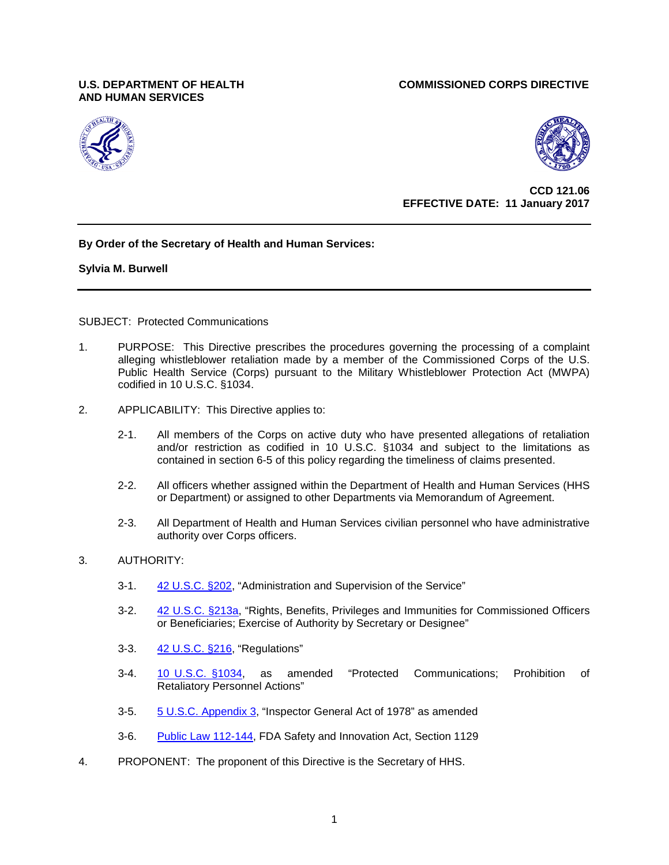# **AND HUMAN SERVICES**





 **CCD 121.06 بالتي تحت المسافر التي يتعلق المسافر التي يتعلق المسافر التي يتعلق المسافر التي يتعلق المسافر الت EFFECTIVE DATE: 11 January 2017**

# **By Order of the Secretary of Health and Human Services:**

**Sylvia M. Burwell** 

SUBJECT: Protected Communications

- 1. PURPOSE: This Directive prescribes the procedures governing the processing of a complaint alleging whistleblower retaliation made by a member of the Commissioned Corps of the U.S. Public Health Service (Corps) pursuant to the Military Whistleblower Protection Act (MWPA) codified in 10 U.S.C. §1034.
- 2. APPLICABILITY: This Directive applies to:
	- 2-1. All members of the Corps on active duty who have presented allegations of retaliation and/or restriction as codified in 10 U.S.C. §1034 and subject to the limitations as contained in section 6-5 of this policy regarding the timeliness of claims presented.
	- 2-2. All officers whether assigned within the Department of Health and Human Services (HHS or Department) or assigned to other Departments via Memorandum of Agreement.
	- 2-3. All Department of Health and Human Services civilian personnel who have administrative authority over Corps officers.
- 3. AUTHORITY:
	- 3-1. [42 U.S.C. §202,](http://www.law.cornell.edu/uscode/html/uscode42/usc_sec_42_00000202----000-.html) "Administration and Supervision of the Service"
	- 3-2. [42 U.S.C. §213a,](http://www.law.cornell.edu/uscode/text/42/213a) "Rights, Benefits, Privileges and Immunities for Commissioned Officers or Beneficiaries; Exercise of Authority by Secretary or Designee"
	- 3-3. [42 U.S.C. §216,](http://www.law.cornell.edu/uscode/html/uscode42/usc_sec_42_00000216----000-.html) "Regulations"
	- 3-4. [10 U.S.C. §1034,](http://www.law.cornell.edu/uscode/text/10/1034) as amended "Protected Communications; Prohibition of Retaliatory Personnel Actions"
	- 3-5. [5 U.S.C. Appendix 3,](http://www.law.cornell.edu/uscode/html/uscode05a/usc_sup_05_5_10_sq2.html) "Inspector General Act of 1978" as amended
	- 3-6. [Public Law 112-144,](http://www.govtrack.us/congress/bills/112/s3187/text) FDA Safety and Innovation Act, Section 1129
- 4. PROPONENT: The proponent of this Directive is the Secretary of HHS.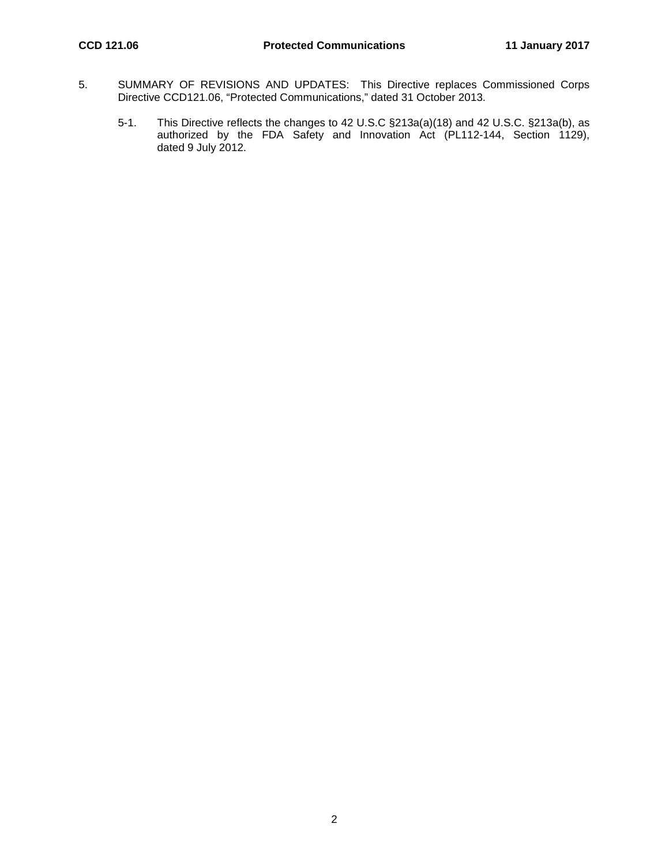- 5. SUMMARY OF REVISIONS AND UPDATES: This Directive replaces Commissioned Corps Directive CCD121.06, "Protected Communications," dated 31 October 2013.
	- 5-1. This Directive reflects the changes to 42 U.S.C §213a(a)(18) and 42 U.S.C. §213a(b), as authorized by the FDA Safety and Innovation Act (PL112-144, Section 1129), dated 9 July 2012.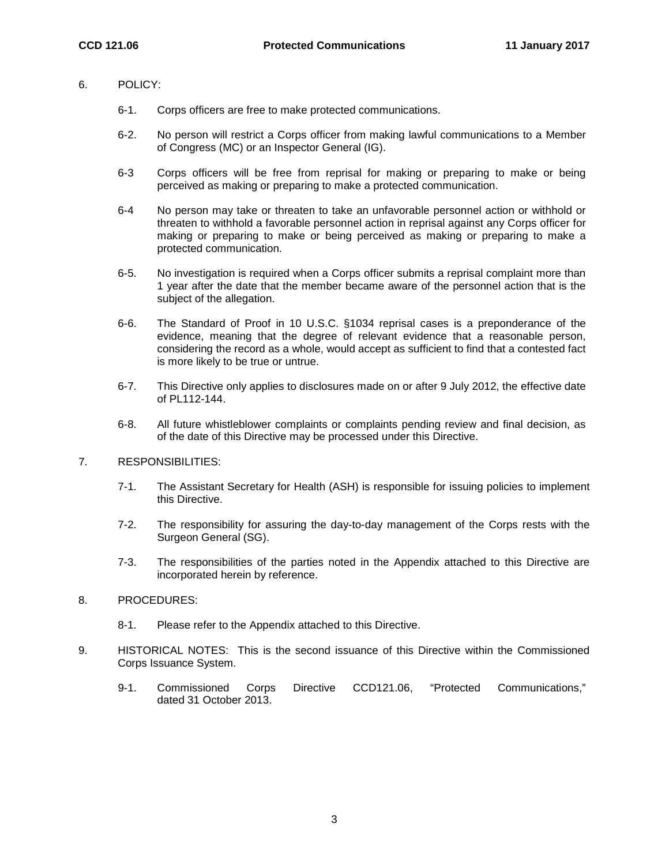## 6. POLICY:

- 6-1. Corps officers are free to make protected communications.
- 6-2. No person will restrict a Corps officer from making lawful communications to a Member of Congress (MC) or an Inspector General (IG).
- 6-3 Corps officers will be free from reprisal for making or preparing to make or being perceived as making or preparing to make a protected communication.
- 6-4 No person may take or threaten to take an unfavorable personnel action or withhold or threaten to withhold a favorable personnel action in reprisal against any Corps officer for making or preparing to make or being perceived as making or preparing to make a protected communication.
- 6-5. No investigation is required when a Corps officer submits a reprisal complaint more than 1 year after the date that the member became aware of the personnel action that is the subject of the allegation.
- 6-6. The Standard of Proof in 10 U.S.C. §1034 reprisal cases is a preponderance of the evidence, meaning that the degree of relevant evidence that a reasonable person, considering the record as a whole, would accept as sufficient to find that a contested fact is more likely to be true or untrue.
- 6-7. This Directive only applies to disclosures made on or after 9 July 2012, the effective date of PL112-144.
- 6-8. All future whistleblower complaints or complaints pending review and final decision, as of the date of this Directive may be processed under this Directive.

## 7. RESPONSIBILITIES:

- 7-1. The Assistant Secretary for Health (ASH) is responsible for issuing policies to implement this Directive.
- 7-2. The responsibility for assuring the day-to-day management of the Corps rests with the Surgeon General (SG).
- 7-3. The responsibilities of the parties noted in the Appendix attached to this Directive are incorporated herein by reference.

## 8. PROCEDURES:

- 8-1. Please refer to the Appendix attached to this Directive.
- 9. HISTORICAL NOTES: This is the second issuance of this Directive within the Commissioned Corps Issuance System.
	- 9-1. Commissioned Corps Directive CCD121.06, "Protected Communications," dated 31 October 2013.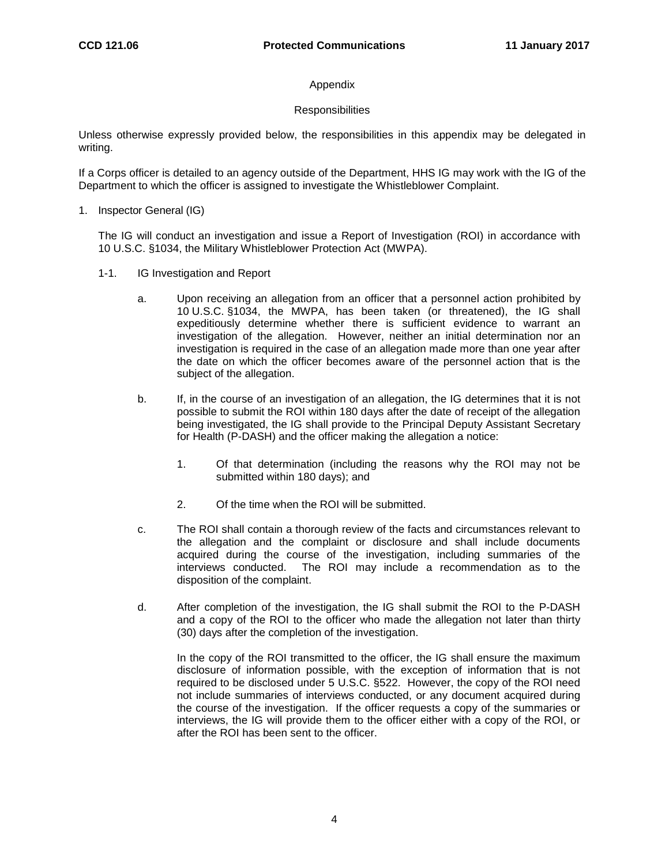# Appendix

## **Responsibilities**

Unless otherwise expressly provided below, the responsibilities in this appendix may be delegated in writing.

If a Corps officer is detailed to an agency outside of the Department, HHS IG may work with the IG of the Department to which the officer is assigned to investigate the Whistleblower Complaint.

1. Inspector General (IG)

The IG will conduct an investigation and issue a Report of Investigation (ROI) in accordance with 10 U.S.C. §1034, the Military Whistleblower Protection Act (MWPA).

- 1-1. IG Investigation and Report
	- a. Upon receiving an allegation from an officer that a personnel action prohibited by 10 U.S.C. §1034, the MWPA, has been taken (or threatened), the IG shall expeditiously determine whether there is sufficient evidence to warrant an investigation of the allegation. However, neither an initial determination nor an investigation is required in the case of an allegation made more than one year after the date on which the officer becomes aware of the personnel action that is the subject of the allegation.
	- b. If, in the course of an investigation of an allegation, the IG determines that it is not possible to submit the ROI within 180 days after the date of receipt of the allegation being investigated, the IG shall provide to the Principal Deputy Assistant Secretary for Health (P-DASH) and the officer making the allegation a notice:
		- 1. Of that determination (including the reasons why the ROI may not be submitted within 180 days); and
		- 2. Of the time when the ROI will be submitted.
	- c. The ROI shall contain a thorough review of the facts and circumstances relevant to the allegation and the complaint or disclosure and shall include documents acquired during the course of the investigation, including summaries of the interviews conducted. The ROI may include a recommendation as to the disposition of the complaint.
	- d. After completion of the investigation, the IG shall submit the ROI to the P-DASH and a copy of the ROI to the officer who made the allegation not later than thirty (30) days after the completion of the investigation.

In the copy of the ROI transmitted to the officer, the IG shall ensure the maximum disclosure of information possible, with the exception of information that is not required to be disclosed under 5 U.S.C. §522. However, the copy of the ROI need not include summaries of interviews conducted, or any document acquired during the course of the investigation. If the officer requests a copy of the summaries or interviews, the IG will provide them to the officer either with a copy of the ROI, or after the ROI has been sent to the officer.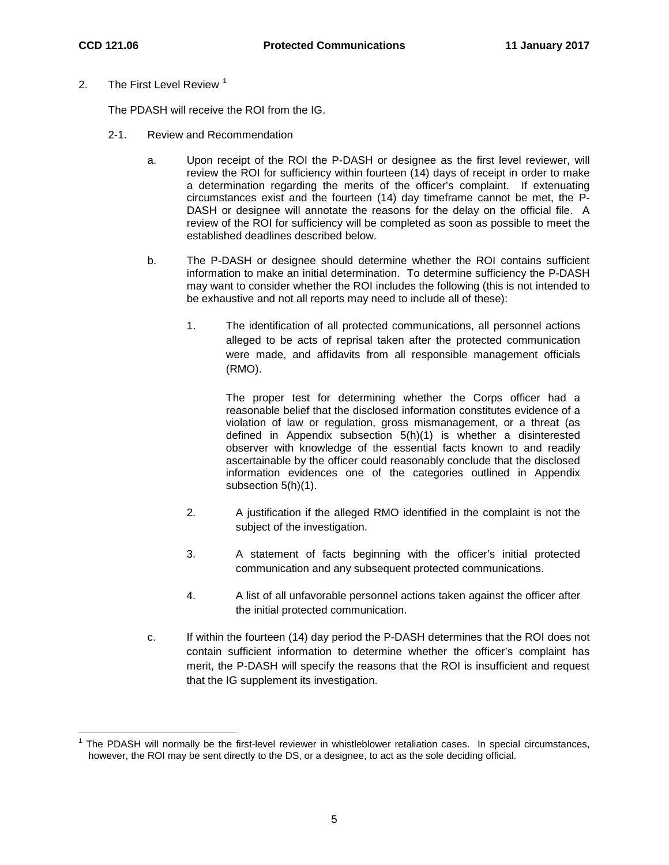2. The First Level Review  $1$ 

The PDASH will receive the ROI from the IG.

- 2-1. Review and Recommendation
	- a. Upon receipt of the ROI the P-DASH or designee as the first level reviewer, will review the ROI for sufficiency within fourteen (14) days of receipt in order to make a determination regarding the merits of the officer's complaint. If extenuating circumstances exist and the fourteen (14) day timeframe cannot be met, the P-DASH or designee will annotate the reasons for the delay on the official file. A review of the ROI for sufficiency will be completed as soon as possible to meet the established deadlines described below.
	- b. The P-DASH or designee should determine whether the ROI contains sufficient information to make an initial determination. To determine sufficiency the P-DASH may want to consider whether the ROI includes the following (this is not intended to be exhaustive and not all reports may need to include all of these):
		- 1. The identification of all protected communications, all personnel actions alleged to be acts of reprisal taken after the protected communication were made, and affidavits from all responsible management officials (RMO).

The proper test for determining whether the Corps officer had a reasonable belief that the disclosed information constitutes evidence of a violation of law or regulation, gross mismanagement, or a threat (as defined in Appendix subsection 5(h)(1) is whether a disinterested observer with knowledge of the essential facts known to and readily ascertainable by the officer could reasonably conclude that the disclosed information evidences one of the categories outlined in Appendix subsection 5(h)(1).

- 2. A justification if the alleged RMO identified in the complaint is not the subject of the investigation.
- 3. A statement of facts beginning with the officer's initial protected communication and any subsequent protected communications.
- 4. A list of all unfavorable personnel actions taken against the officer after the initial protected communication.
- c. If within the fourteen (14) day period the P-DASH determines that the ROI does not contain sufficient information to determine whether the officer's complaint has merit, the P-DASH will specify the reasons that the ROI is insufficient and request that the IG supplement its investigation.

<span id="page-4-0"></span> $1$  The PDASH will normally be the first-level reviewer in whistleblower retaliation cases. In special circumstances, however, the ROI may be sent directly to the DS, or a designee, to act as the sole deciding official.  $\overline{a}$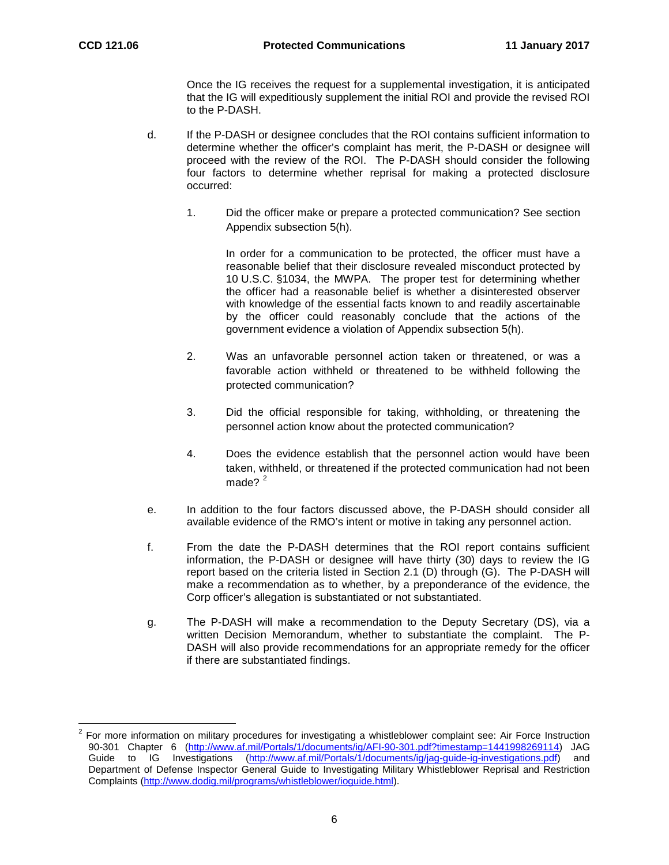$\overline{\phantom{a}}$ 

Once the IG receives the request for a supplemental investigation, it is anticipated that the IG will expeditiously supplement the initial ROI and provide the revised ROI to the P-DASH.

- d. If the P-DASH or designee concludes that the ROI contains sufficient information to determine whether the officer's complaint has merit, the P-DASH or designee will proceed with the review of the ROI. The P-DASH should consider the following four factors to determine whether reprisal for making a protected disclosure occurred:
	- 1. Did the officer make or prepare a protected communication? See section Appendix subsection 5(h).

In order for a communication to be protected, the officer must have a reasonable belief that their disclosure revealed misconduct protected by 10 U.S.C. §1034, the MWPA. The proper test for determining whether the officer had a reasonable belief is whether a disinterested observer with knowledge of the essential facts known to and readily ascertainable by the officer could reasonably conclude that the actions of the government evidence a violation of Appendix subsection 5(h).

- 2. Was an unfavorable personnel action taken or threatened, or was a favorable action withheld or threatened to be withheld following the protected communication?
- 3. Did the official responsible for taking, withholding, or threatening the personnel action know about the protected communication?
- 4. Does the evidence establish that the personnel action would have been taken, withheld, or threatened if the protected communication had not been made? $2^2$  $2^2$
- e. In addition to the four factors discussed above, the P-DASH should consider all available evidence of the RMO's intent or motive in taking any personnel action.
- f. From the date the P-DASH determines that the ROI report contains sufficient information, the P-DASH or designee will have thirty (30) days to review the IG report based on the criteria listed in Section 2.1 (D) through (G). The P-DASH will make a recommendation as to whether, by a preponderance of the evidence, the Corp officer's allegation is substantiated or not substantiated.
- g. The P-DASH will make a recommendation to the Deputy Secretary (DS), via a written Decision Memorandum, whether to substantiate the complaint. The P-DASH will also provide recommendations for an appropriate remedy for the officer if there are substantiated findings.

<span id="page-5-0"></span><sup>2</sup> For more information on military procedures for investigating a whistleblower complaint see: Air Force Instruction 90-301 Chapter 6 [\(http://www.af.mil/Portals/1/documents/ig/AFI-90-301.pdf?timestamp=1441998269114\)](http://www.af.mil/Portals/1/documents/ig/AFI-90-301.pdf?timestamp=1441998269114) JAG Guide to IG Investigations [\(http://www.af.mil/Portals/1/documents/ig/jag-guide-ig-investigations.pdf\)](http://www.af.mil/Portals/1/documents/ig/jag-guide-ig-investigations.pdf) and Department of Defense Inspector General Guide to Investigating Military Whistleblower Reprisal and Restriction Complaints [\(http://www.dodig.mil/programs/whistleblower/ioguide.html\)](http://www.dodig.mil/programs/whistleblower/ioguide.html).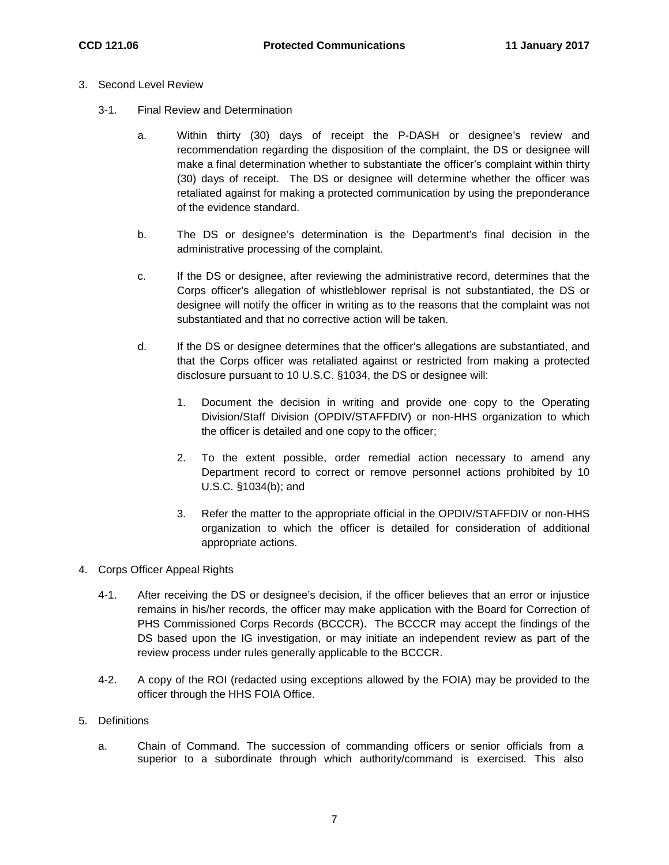- 3. Second Level Review
	- 3-1. Final Review and Determination
		- a. Within thirty (30) days of receipt the P-DASH or designee's review and recommendation regarding the disposition of the complaint, the DS or designee will make a final determination whether to substantiate the officer's complaint within thirty (30) days of receipt. The DS or designee will determine whether the officer was retaliated against for making a protected communication by using the preponderance of the evidence standard.
		- b. The DS or designee's determination is the Department's final decision in the administrative processing of the complaint.
		- c. If the DS or designee, after reviewing the administrative record, determines that the Corps officer's allegation of whistleblower reprisal is not substantiated, the DS or designee will notify the officer in writing as to the reasons that the complaint was not substantiated and that no corrective action will be taken.
		- d. If the DS or designee determines that the officer's allegations are substantiated, and that the Corps officer was retaliated against or restricted from making a protected disclosure pursuant to 10 U.S.C. §1034, the DS or designee will:
			- 1. Document the decision in writing and provide one copy to the Operating Division/Staff Division (OPDIV/STAFFDIV) or non-HHS organization to which the officer is detailed and one copy to the officer;
			- 2. To the extent possible, order remedial action necessary to amend any Department record to correct or remove personnel actions prohibited by 10 U.S.C. §1034(b); and
			- 3. Refer the matter to the appropriate official in the OPDIV/STAFFDIV or non-HHS organization to which the officer is detailed for consideration of additional appropriate actions.
- 4. Corps Officer Appeal Rights
	- 4-1. After receiving the DS or designee's decision, if the officer believes that an error or injustice remains in his/her records, the officer may make application with the Board for Correction of PHS Commissioned Corps Records (BCCCR). The BCCCR may accept the findings of the DS based upon the IG investigation, or may initiate an independent review as part of the review process under rules generally applicable to the BCCCR.
	- 4-2. A copy of the ROI (redacted using exceptions allowed by the FOIA) may be provided to the officer through the HHS FOIA Office.
- 5. Definitions
	- a. Chain of Command. The succession of commanding officers or senior officials from a superior to a subordinate through which authority/command is exercised. This also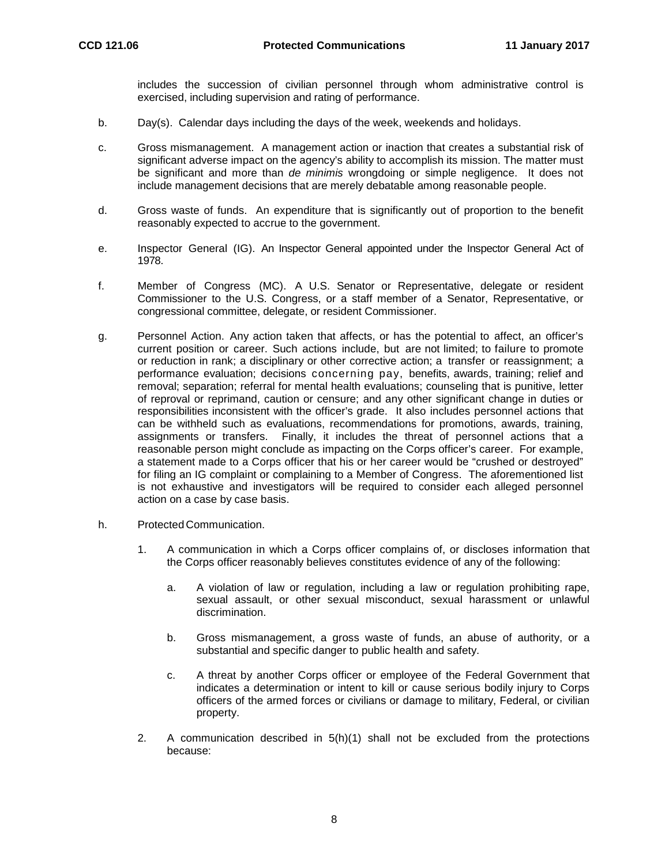includes the succession of civilian personnel through whom administrative control is exercised, including supervision and rating of performance.

- b. Day(s). Calendar days including the days of the week, weekends and holidays.
- c. Gross mismanagement. A management action or inaction that creates a substantial risk of significant adverse impact on the agency's ability to accomplish its mission. The matter must be significant and more than *de minimis* wrongdoing or simple negligence. It does not include management decisions that are merely debatable among reasonable people.
- d. Gross waste of funds. An expenditure that is significantly out of proportion to the benefit reasonably expected to accrue to the government.
- e. Inspector General (IG). An Inspector General appointed under the Inspector General Act of 1978.
- f. Member of Congress (MC). A U.S. Senator or Representative, delegate or resident Commissioner to the U.S. Congress, or a staff member of a Senator, Representative, or congressional committee, delegate, or resident Commissioner.
- g. Personnel Action. Any action taken that affects, or has the potential to affect, an officer's current position or career. Such actions include, but are not limited; to failure to promote or reduction in rank; a disciplinary or other corrective action; a transfer or reassignment; a performance evaluation; decisions concerning pay, benefits, awards, training; relief and removal; separation; referral for mental health evaluations; counseling that is punitive, letter of reproval or reprimand, caution or censure; and any other significant change in duties or responsibilities inconsistent with the officer's grade. It also includes personnel actions that can be withheld such as evaluations, recommendations for promotions, awards, training, assignments or transfers. Finally, it includes the threat of personnel actions that a reasonable person might conclude as impacting on the Corps officer's career. For example, a statement made to a Corps officer that his or her career would be "crushed or destroyed" for filing an IG complaint or complaining to a Member of Congress. The aforementioned list is not exhaustive and investigators will be required to consider each alleged personnel action on a case by case basis.
- h. Protected Communication.
	- 1. A communication in which a Corps officer complains of, or discloses information that the Corps officer reasonably believes constitutes evidence of any of the following:
		- a. A violation of law or regulation, including a law or regulation prohibiting rape, sexual assault, or other sexual misconduct, sexual harassment or unlawful discrimination.
		- b. Gross mismanagement, a gross waste of funds, an abuse of authority, or a substantial and specific danger to public health and safety.
		- c. A threat by another Corps officer or employee of the Federal Government that indicates a determination or intent to kill or cause serious bodily injury to Corps officers of the armed forces or civilians or damage to military, Federal, or civilian property.
	- 2. A communication described in 5(h)(1) shall not be excluded from the protections because: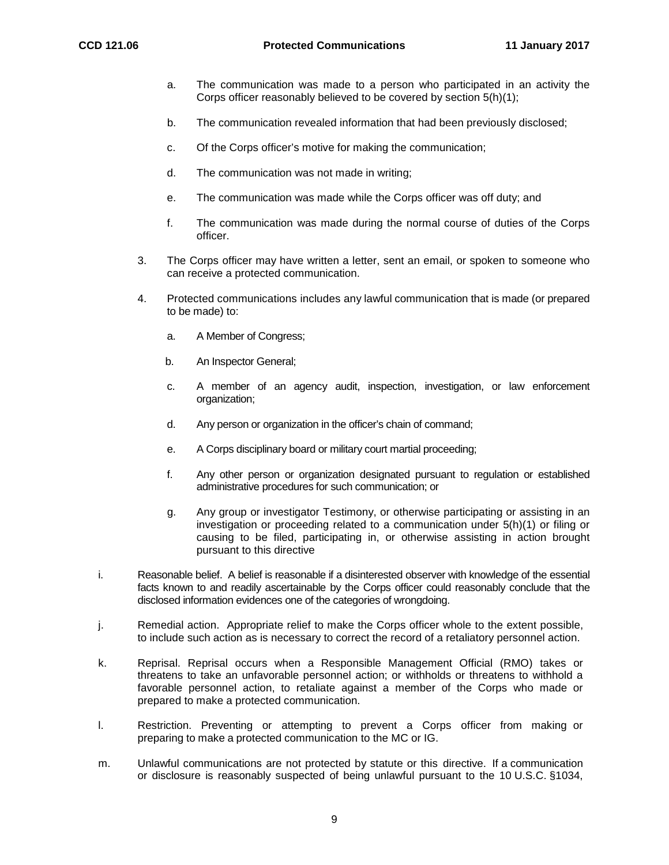- a. The communication was made to a person who participated in an activity the Corps officer reasonably believed to be covered by section 5(h)(1);
- b. The communication revealed information that had been previously disclosed;
- c. Of the Corps officer's motive for making the communication;
- d. The communication was not made in writing;
- e. The communication was made while the Corps officer was off duty; and
- f. The communication was made during the normal course of duties of the Corps officer.
- 3. The Corps officer may have written a letter, sent an email, or spoken to someone who can receive a protected communication.
- 4. Protected communications includes any lawful communication that is made (or prepared to be made) to:
	- a. A Member of Congress;
	- b. An Inspector General;
	- c. A member of an agency audit, inspection, investigation, or law enforcement organization;
	- d. Any person or organization in the officer's chain of command;
	- e. A Corps disciplinary board or military court martial proceeding;
	- f. Any other person or organization designated pursuant to regulation or established administrative procedures for such communication; or
	- g. Any group or investigator Testimony, or otherwise participating or assisting in an investigation or proceeding related to a communication under 5(h)(1) or filing or causing to be filed, participating in, or otherwise assisting in action brought pursuant to this directive
- i. Reasonable belief. A belief is reasonable if a disinterested observer with knowledge of the essential facts known to and readily ascertainable by the Corps officer could reasonably conclude that the disclosed information evidences one of the categories of wrongdoing.
- j. Remedial action. Appropriate relief to make the Corps officer whole to the extent possible, to include such action as is necessary to correct the record of a retaliatory personnel action.
- k. Reprisal. Reprisal occurs when a Responsible Management Official (RMO) takes or threatens to take an unfavorable personnel action; or withholds or threatens to withhold a favorable personnel action, to retaliate against a member of the Corps who made or prepared to make a protected communication.
- l. Restriction. Preventing or attempting to prevent a Corps officer from making or preparing to make a protected communication to the MC or IG.
- m. Unlawful communications are not protected by statute or this directive. If a communication or disclosure is reasonably suspected of being unlawful pursuant to the 10 U.S.C. §1034,